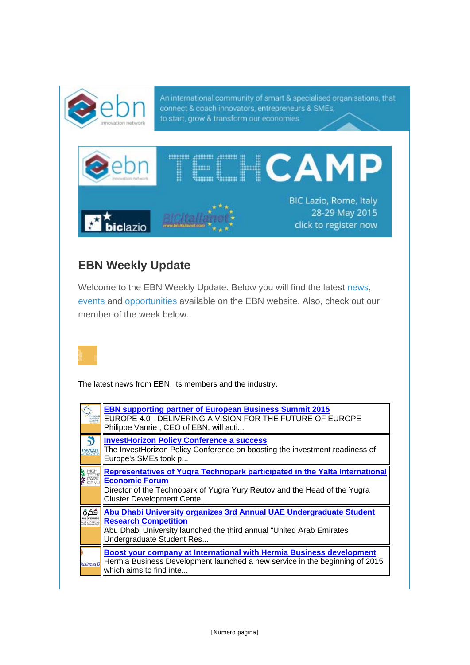

## **EBN Weekly Update**

Welcome to the EBN Weekly Update. Below you will find the latest news, events and opportunities available on the EBN website. Also, check out our member of the week below.

The latest news from EBN, its members and the industry.

|      | <b>EBN supporting partner of European Business Summit 2015</b><br>EUROPE 4.0 - DELIVERING A VISION FOR THE FUTURE OF EUROPE<br>Philippe Vanrie, CEO of EBN, will acti                                                 |
|------|-----------------------------------------------------------------------------------------------------------------------------------------------------------------------------------------------------------------------|
|      | <b>InvestHorizon Policy Conference a success</b><br>The InvestHorizon Policy Conference on boosting the investment readiness of<br>Europe's SMEs took p                                                               |
|      | Representatives of Yugra Technopark participated in the Yalta International<br><b>Economic Forum</b><br>Director of the Technopark of Yugra Yury Reutov and the Head of the Yugra<br><b>Cluster Development Cente</b> |
| فكرة | Abu Dhabi University organizes 3rd Annual UAE Undergraduate Student<br><b>Research Competition</b><br>Abu Dhabi University launched the third annual "United Arab Emirates<br>Undergraduate Student Res               |
|      | <b>Boost your company at International with Hermia Business development</b><br><b>Ivisiness D</b>   Hermia Business Development launched a new service in the beginning of 2015<br>which aims to find inte            |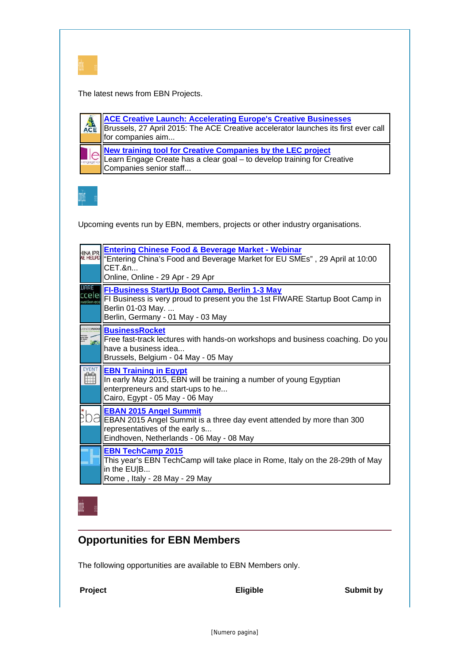

The latest news from EBN Projects.

**ACE Creative Launch: Accelerating Europe's Creative Businesses**  $ACE$ Brussels, 27 April 2015: The ACE Creative accelerator launches its first ever call for companies aim... **New training tool for Creative Companies by the LEC project** Learn Engage Create has a clear goal – to develop training for Creative Companies senior staff...



Upcoming events run by EBN, members, projects or other industry organisations.

| <b><i>NE HELPD</i></b>              | <b>Entering Chinese Food &amp; Beverage Market - Webinar</b><br>"Entering China's Food and Beverage Market for EU SMEs", 29 April at 10:00<br>CET.&n<br>Online, Online - 29 Apr - 29 Apr |
|-------------------------------------|------------------------------------------------------------------------------------------------------------------------------------------------------------------------------------------|
| <b>UARE</b><br>rcelel<br>vation eca | FI-Business StartUp Boot Camp, Berlin 1-3 May<br>FI Business is very proud to present you the 1st FIWARE Startup Boot Camp in<br>Berlin 01-03 May.<br>Berlin, Germany - 01 May - 03 May  |
|                                     | <b>BusinessRocket</b><br>Free fast-track lectures with hands-on workshops and business coaching. Do you<br>have a business idea<br>Brussels, Belgium - 04 May - 05 May                   |
| <b>EVENT</b>                        | <b>EBN Training in Egypt</b><br>In early May 2015, EBN will be training a number of young Egyptian<br>enterpreneurs and start-ups to he<br>Cairo, Egypt - 05 May - 06 May                |
|                                     | <b>EBAN 2015 Angel Summit</b><br>EBAN 2015 Angel Summit is a three day event attended by more than 300<br>representatives of the early s<br>Eindhoven, Netherlands - 06 May - 08 May     |
|                                     | <b>EBN TechCamp 2015</b><br>This year's EBN TechCamp will take place in Rome, Italy on the 28-29th of May<br>in the EU B                                                                 |

## **Opportunities for EBN Members**

The following opportunities are available to EBN Members only.

**Project Eligible Submit by**